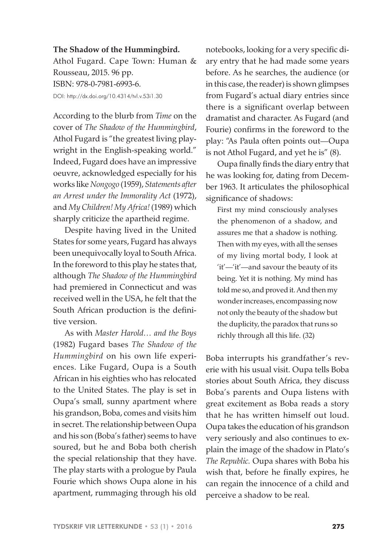## **The Shadow of the Hummingbird.**

Athol Fugard. Cape Town: Human & Rousseau, 2015. 96 pp. ISBN: 978-0-7981-6993-6. DOI: http://dx.doi.org/10.4314/tvl.v.53i1.30

According to the blurb from *Time* on the cover of *The Shadow of the Hummingbird*, Athol Fugard is "the greatest living playwright in the English-speaking world." Indeed, Fugard does have an impressive oeuvre, acknowledged especially for his works like *Nongogo* (1959), *Statements after an Arrest under the Immorality Act* (1972), and *My Children! My Africa!* (1989) which sharply criticize the apartheid regime.

Despite having lived in the United States for some years, Fugard has always been unequivocally loyal to South Africa. In the foreword to this play he states that, although *The Shadow of the Hummingbird* had premiered in Connecticut and was received well in the USA, he felt that the South African production is the definitive version.

As with *Master Harold… and the Boys*  (1982) Fugard bases *The Shadow of the Hummingbird* on his own life experiences. Like Fugard, Oupa is a South African in his eighties who has relocated to the United States. The play is set in Oupa's small, sunny apartment where his grandson, Boba, comes and visits him in secret. The relationship between Oupa and his son (Boba's father) seems to have soured, but he and Boba both cherish the special relationship that they have. The play starts with a prologue by Paula Fourie which shows Oupa alone in his apartment, rummaging through his old

notebooks, looking for a very specific diary entry that he had made some years before. As he searches, the audience (or in this case, the reader) is shown glimpses from Fugard's actual diary entries since there is a significant overlap between dramatist and character. As Fugard (and Fourie) confirms in the foreword to the play: "As Paula often points out—Oupa is not Athol Fugard, and yet he is" (8).

Oupa finally finds the diary entry that he was looking for, dating from December 1963. It articulates the philosophical significance of shadows:

First my mind consciously analyses the phenomenon of a shadow, and assures me that a shadow is nothing. Then with my eyes, with all the senses of my living mortal body, I look at 'it'—'it'—and savour the beauty of its being. Yet it is nothing. My mind has told me so, and proved it. And then my wonder increases, encompassing now not only the beauty of the shadow but the duplicity, the paradox that runs so richly through all this life. (32)

Boba interrupts his grandfather's reverie with his usual visit. Oupa tells Boba stories about South Africa, they discuss Boba's parents and Oupa listens with great excitement as Boba reads a story that he has written himself out loud. Oupa takes the education of his grandson very seriously and also continues to explain the image of the shadow in Plato's *The Republic.* Oupa shares with Boba his wish that, before he finally expires, he can regain the innocence of a child and perceive a shadow to be real.